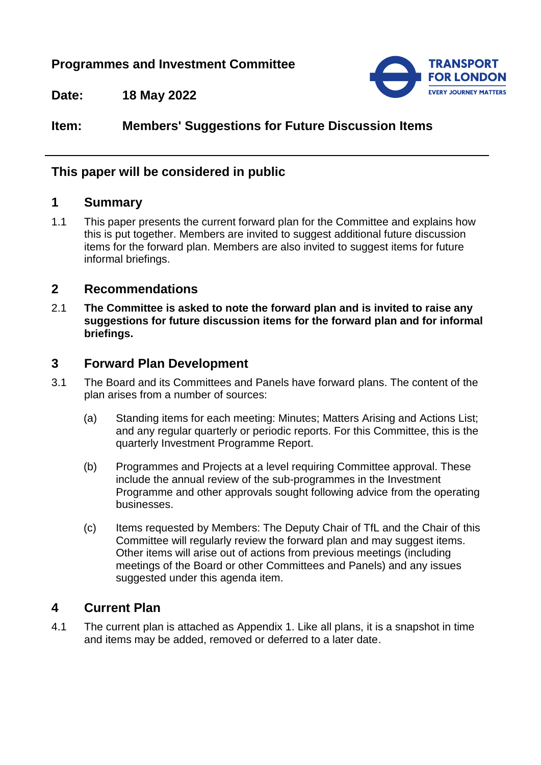# **Programmes and Investment Committee**



**Date: 18 May 2022**

# **Item: Members' Suggestions for Future Discussion Items**

## **This paper will be considered in public**

#### **1 Summary**

1.1 This paper presents the current forward plan for the Committee and explains how this is put together. Members are invited to suggest additional future discussion items for the forward plan. Members are also invited to suggest items for future informal briefings.

#### **2 Recommendations**

2.1 **The Committee is asked to note the forward plan and is invited to raise any suggestions for future discussion items for the forward plan and for informal briefings.**

### **3 Forward Plan Development**

- 3.1 The Board and its Committees and Panels have forward plans. The content of the plan arises from a number of sources:
	- (a) Standing items for each meeting: Minutes; Matters Arising and Actions List; and any regular quarterly or periodic reports. For this Committee, this is the quarterly Investment Programme Report.
	- (b) Programmes and Projects at a level requiring Committee approval. These include the annual review of the sub-programmes in the Investment Programme and other approvals sought following advice from the operating businesses.
	- (c) Items requested by Members: The Deputy Chair of TfL and the Chair of this Committee will regularly review the forward plan and may suggest items. Other items will arise out of actions from previous meetings (including meetings of the Board or other Committees and Panels) and any issues suggested under this agenda item.

## **4 Current Plan**

4.1 The current plan is attached as Appendix 1. Like all plans, it is a snapshot in time and items may be added, removed or deferred to a later date.